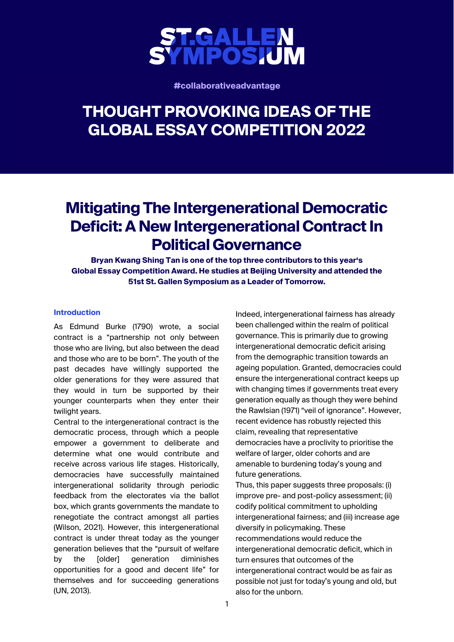

**#collaborativeadvantage**

# **THOUGHT PROVOKING IDEAS OF THE GLOBAL ESSAY COMPETITION 2022**

## **Mitigating The Intergenerational Democratic Deficit: A New Intergenerational Contract In Political Governance**

**Bryan Kwang Shing Tan is one of the top three contributors to this year's Global Essay Competition Award. He studies at Beijing University and attended the 51st St. Gallen Symposium as a Leader of Tomorrow.** 

#### **Introduction**

As Edmund Burke (1790) wrote, a social contract is a "partnership not only between those who are living, but also between the dead and those who are to be born". The youth of the past decades have willingly supported the older generations for they were assured that they would in turn be supported by their younger counterparts when they enter their twilight years.

Central to the intergenerational contract is the democratic process, through which a people empower a government to deliberate and determine what one would contribute and receive across various life stages. Historically, democracies have successfully maintained intergenerational solidarity through periodic feedback from the electorates via the ballot box, which grants governments the mandate to renegotiate the contract amongst all parties (Wilson, 2021). However, this intergenerational contract is under threat today as the younger generation believes that the "pursuit of welfare by the [older] generation diminishes opportunities for a good and decent life" for themselves and for succeeding generations (UN, 2013).

Indeed, intergenerational fairness has already been challenged within the realm of political governance. This is primarily due to growing intergenerational democratic deficit arising from the demographic transition towards an ageing population. Granted, democracies could ensure the intergenerational contract keeps up with changing times if governments treat every generation equally as though they were behind the Rawlsian (1971) "veil of ignorance". However, recent evidence has robustly rejected this claim, revealing that representative democracies have a proclivity to prioritise the welfare of larger, older cohorts and are amenable to burdening today's young and future generations.

Thus, this paper suggests three proposals: (i) improve pre- and post-policy assessment; (ii) codify political commitment to upholding intergenerational fairness; and (iii) increase age diversify in policymaking. These recommendations would reduce the intergenerational democratic deficit, which in turn ensures that outcomes of the intergenerational contract would be as fair as possible not just for today's young and old, but also for the unborn.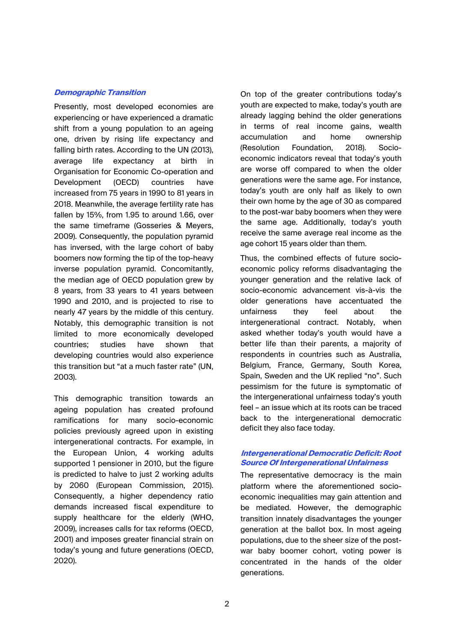#### **Demographic Transition**

Presently, most developed economies are experiencing or have experienced a dramatic shift from a young population to an ageing one, driven by rising life expectancy and falling birth rates. According to the UN (2013), average life expectancy at birth in Organisation for Economic Co-operation and Development (OECD) countries have increased from 75 years in 1990 to 81 years in 2018. Meanwhile, the average fertility rate has fallen by 15%, from 1.95 to around 1.66, over the same timeframe (Gosseries & Meyers, 2009). Consequently, the population pyramid has inversed, with the large cohort of baby boomers now forming the tip of the top-heavy inverse population pyramid. Concomitantly, the median age of OECD population grew by 8 years, from 33 years to 41 years between 1990 and 2010, and is projected to rise to nearly 47 years by the middle of this century. Notably, this demographic transition is not limited to more economically developed countries; studies have shown that developing countries would also experience this transition but "at a much faster rate" (UN, 2003).

This demographic transition towards an ageing population has created profound ramifications for many socio-economic policies previously agreed upon in existing intergenerational contracts. For example, in the European Union, 4 working adults supported 1 pensioner in 2010, but the figure is predicted to halve to just 2 working adults by 2060 (European Commission, 2015). Consequently, a higher dependency ratio demands increased fiscal expenditure to supply healthcare for the elderly (WHO, 2009), increases calls for tax reforms (OECD, 2001) and imposes greater financial strain on today's young and future generations (OECD, 2020).

On top of the greater contributions today's youth are expected to make, today's youth are already lagging behind the older generations in terms of real income gains, wealth accumulation and home ownership (Resolution Foundation, 2018). Socioeconomic indicators reveal that today's youth are worse off compared to when the older generations were the same age. For instance, today's youth are only half as likely to own their own home by the age of 30 as compared to the post-war baby boomers when they were the same age. Additionally, today's youth receive the same average real income as the age cohort 15 years older than them.

Thus, the combined effects of future socioeconomic policy reforms disadvantaging the younger generation and the relative lack of socio-economic advancement vis-à-vis the older generations have accentuated the unfairness they feel about the intergenerational contract. Notably, when asked whether today's youth would have a better life than their parents, a majority of respondents in countries such as Australia, Belgium, France, Germany, South Korea, Spain, Sweden and the UK replied "no". Such pessimism for the future is symptomatic of the intergenerational unfairness today's youth feel – an issue which at its roots can be traced back to the intergenerational democratic deficit they also face today.

#### **Intergenerational Democratic Deficit: Root Source Of Intergenerational Unfairness**

The representative democracy is the main platform where the aforementioned socioeconomic inequalities may gain attention and be mediated. However, the demographic transition innately disadvantages the younger generation at the ballot box. In most ageing populations, due to the sheer size of the postwar baby boomer cohort, voting power is concentrated in the hands of the older generations.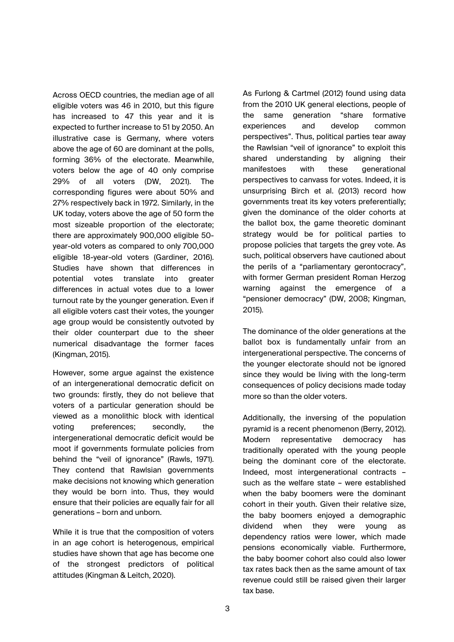Across OECD countries, the median age of all eligible voters was 46 in 2010, but this figure has increased to 47 this year and it is expected to further increase to 51 by 2050. An illustrative case is Germany, where voters above the age of 60 are dominant at the polls, forming 36% of the electorate. Meanwhile, voters below the age of 40 only comprise 29% of all voters (DW, 2021). The corresponding figures were about 50% and 27% respectively back in 1972. Similarly, in the UK today, voters above the age of 50 form the most sizeable proportion of the electorate; there are approximately 900,000 eligible 50 year-old voters as compared to only 700,000 eligible 18-year-old voters (Gardiner, 2016). Studies have shown that differences in potential votes translate into greater differences in actual votes due to a lower turnout rate by the younger generation. Even if all eligible voters cast their votes, the younger age group would be consistently outvoted by their older counterpart due to the sheer numerical disadvantage the former faces (Kingman, 2015).

However, some argue against the existence of an intergenerational democratic deficit on two grounds: firstly, they do not believe that voters of a particular generation should be viewed as a monolithic block with identical voting preferences; secondly, the intergenerational democratic deficit would be moot if governments formulate policies from behind the "veil of ignorance" (Rawls, 1971). They contend that Rawlsian governments make decisions not knowing which generation they would be born into. Thus, they would ensure that their policies are equally fair for all generations – born and unborn.

While it is true that the composition of voters in an age cohort is heterogenous, empirical studies have shown that age has become one of the strongest predictors of political attitudes (Kingman & Leitch, 2020).

As Furlong & Cartmel (2012) found using data from the 2010 UK general elections, people of the same generation "share formative experiences and develop common perspectives". Thus, political parties tear away the Rawlsian "veil of ignorance" to exploit this shared understanding by aligning their manifestoes with these generational perspectives to canvass for votes. Indeed, it is unsurprising Birch et al. (2013) record how governments treat its key voters preferentially; given the dominance of the older cohorts at the ballot box, the game theoretic dominant strategy would be for political parties to propose policies that targets the grey vote. As such, political observers have cautioned about the perils of a "parliamentary gerontocracy", with former German president Roman Herzog warning against the emergence of a "pensioner democracy" (DW, 2008; Kingman, 2015).

The dominance of the older generations at the ballot box is fundamentally unfair from an intergenerational perspective. The concerns of the younger electorate should not be ignored since they would be living with the long-term consequences of policy decisions made today more so than the older voters.

Additionally, the inversing of the population pyramid is a recent phenomenon (Berry, 2012). Modern representative democracy has traditionally operated with the young people being the dominant core of the electorate. Indeed, most intergenerational contracts – such as the welfare state – were established when the baby boomers were the dominant cohort in their youth. Given their relative size, the baby boomers enjoyed a demographic dividend when they were young as dependency ratios were lower, which made pensions economically viable. Furthermore, the baby boomer cohort also could also lower tax rates back then as the same amount of tax revenue could still be raised given their larger tax base.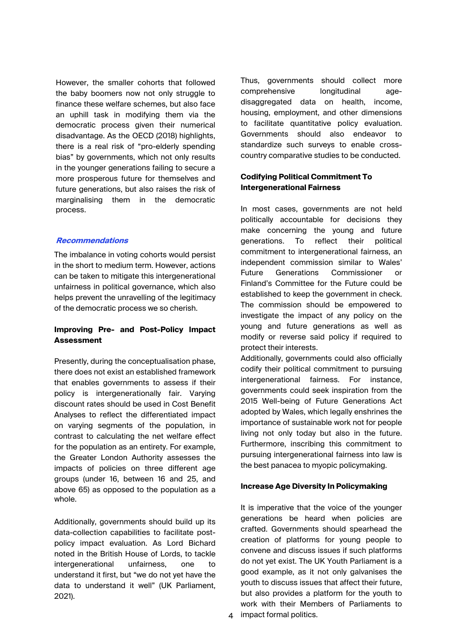However, the smaller cohorts that followed the baby boomers now not only struggle to finance these welfare schemes, but also face an uphill task in modifying them via the democratic process given their numerical disadvantage. As the OECD (2018) highlights, there is a real risk of "pro-elderly spending bias" by governments, which not only results in the younger generations failing to secure a more prosperous future for themselves and future generations, but also raises the risk of marginalising them in the democratic process.

## **Recommendations**

The imbalance in voting cohorts would persist in the short to medium term. However, actions can be taken to mitigate this intergenerational unfairness in political governance, which also helps prevent the unravelling of the legitimacy of the democratic process we so cherish.

## **Improving Pre- and Post-Policy Impact Assessment**

Presently, during the conceptualisation phase, there does not exist an established framework that enables governments to assess if their policy is intergenerationally fair. Varying discount rates should be used in Cost Benefit Analyses to reflect the differentiated impact on varying segments of the population, in contrast to calculating the net welfare effect for the population as an entirety. For example, the Greater London Authority assesses the impacts of policies on three different age groups (under 16, between 16 and 25, and above 65) as opposed to the population as a whole.

Additionally, governments should build up its data-collection capabilities to facilitate postpolicy impact evaluation. As Lord Bichard noted in the British House of Lords, to tackle intergenerational unfairness, one to understand it first, but "we do not yet have the data to understand it well" (UK Parliament, 2021).

Thus, governments should collect more comprehensive longitudinal agedisaggregated data on health, income, housing, employment, and other dimensions to facilitate quantitative policy evaluation. Governments should also endeavor to standardize such surveys to enable crosscountry comparative studies to be conducted.

## **Codifying Political Commitment To Intergenerational Fairness**

In most cases, governments are not held politically accountable for decisions they make concerning the young and future generations. To reflect their political commitment to intergenerational fairness, an independent commission similar to Wales' Future Generations Commissioner or Finland's Committee for the Future could be established to keep the government in check. The commission should be empowered to investigate the impact of any policy on the young and future generations as well as modify or reverse said policy if required to protect their interests.

Additionally, governments could also officially codify their political commitment to pursuing intergenerational fairness. For instance, governments could seek inspiration from the 2015 Well-being of Future Generations Act adopted by Wales, which legally enshrines the importance of sustainable work not for people living not only today but also in the future. Furthermore, inscribing this commitment to pursuing intergenerational fairness into law is the best panacea to myopic policymaking.

### **Increase Age Diversity In Policymaking**

4 impact formal politics. It is imperative that the voice of the younger generations be heard when policies are crafted. Governments should spearhead the creation of platforms for young people to convene and discuss issues if such platforms do not yet exist. The UK Youth Parliament is a good example, as it not only galvanises the youth to discuss issues that affect their future, but also provides a platform for the youth to work with their Members of Parliaments to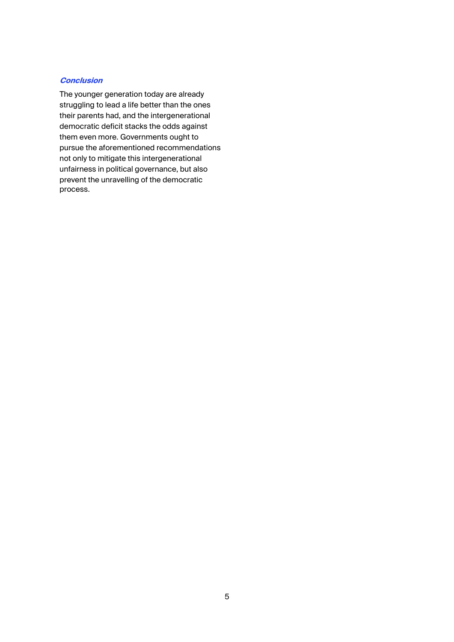## **Conclusion**

The younger generation today are already struggling to lead a life better than the ones their [parents had, and the intergenerational](http://www.bbc.com/news/world-africa-40171095)  democratic deficit stacks the odds against them even more. Governments ought to pursue the aforementioned recommendations not only to mitigate this intergenerational unfairness in political governance, but also prevent the unravelling of the democratic process.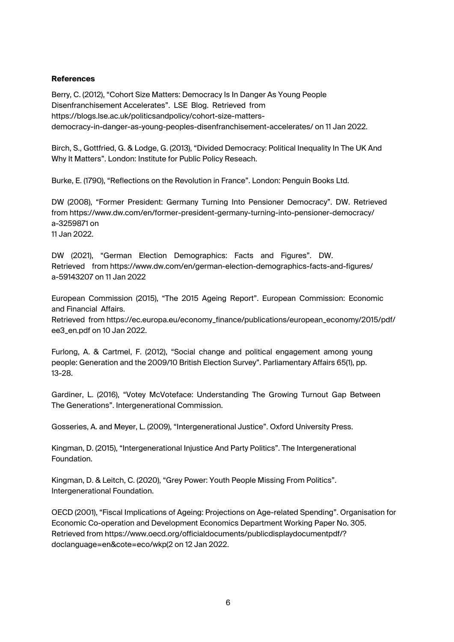#### **References**

Berry, C. (2012), "Cohort Size Matters: Democracy Is In Danger As Young People Disenfranchisement Accelerates". LSE Blog. Retrieved from [https://blogs.lse.ac.uk/politicsandpolicy/cohort-size-matters](http://documents1.worldbank.org/curated/en/723671560782662349/pdf/A-Framework-to-)democracy-in-danger-as-young-peoples-disenfranchisement-accelerates/ on 11 Jan 2022.

Birch, S., Gottfried, G. & Lodge, G. (2013), "Divided Democracy: Political Inequality In The UK And Why It Matters". London: Institute for Public Policy Reseach.

Burke, E. (1790), "Reflections on the Revolution in France". London: Penguin Books Ltd.

DW (2008), "Former President: Germany Turning Into Pensioner Democracy". DW. Retrieved from https://www.dw.com/en/former-president-germany-turning-into-pensioner-democracy/ a-3259871 on 11 Jan 2022.

DW (2021), "German Election Demographics: Facts and Figures". DW. Retrieved from https://www.dw.com/en/german-election-demographics-facts-and-figures/ a-59143207 on 11 Jan 2022

European Commission (2015), "The 2015 Ageing Report". European Commission: Economic and Financial Affairs.

Retrieved from https://ec.europa.eu/economy\_finance/publications/european\_economy/2015/pdf/ ee3\_en.pdf on 10 Jan 2022.

Furlong, A. & Cartmel, F. (2012), "Social change and political engagement among young people: Generation and the 2009/10 British Election Survey". Parliamentary Affairs 65(1), pp. 13-28.

Gardiner, L. (2016), "Votey McVoteface: Understanding The Growing Turnout Gap Between The Generations". Intergenerational Commission.

Gosseries, A. and Meyer, L. (2009), "Intergenerational Justice". Oxford University Press.

Kingman, D. (2015), "Intergenerational Injustice And Party Politics". The Intergenerational Foundation.

Kingman, D. & Leitch, C. (2020), "Grey Power: Youth People Missing From Politics". Intergenerational Foundation.

OECD (2001), "Fiscal Implications of Ageing: Projections on Age-related Spending". Organisation for Economic Co-operation and Development Economics Department Working Paper No. 305. Retrieved from https://www.oecd.org/officialdocuments/publicdisplaydocumentpdf/? doclanguage=en&cote=eco/wkp(2 on 12 Jan 2022.